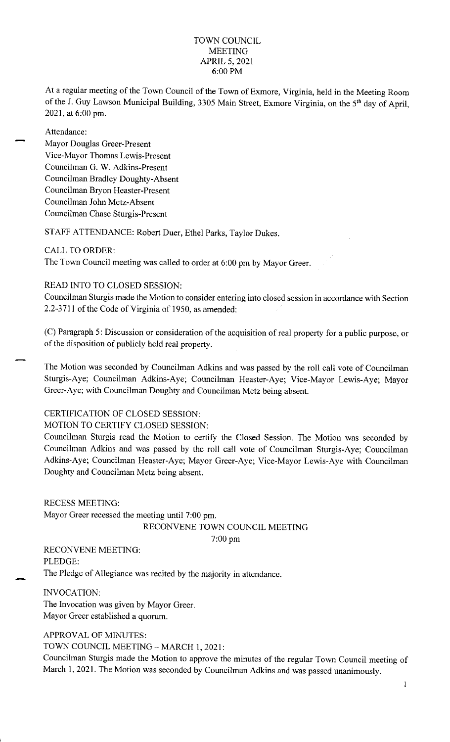## TOWN COUNCIL **MEETING** APRIL 5, 2021 6:00 PM

At a regular meeting of the Town Council of the Town of Exmore, Virginia, held in the Meeting Room of the J. Guy Lawson Municipal Building, 3305 Main Street, Exmore Virginia, on the 5<sup>th</sup> day of April, 2021, at 6:00 pm.

Attendance:

Mayor Douglas Greer-Present Vice-Mayor Thomas Lewis-Present Councilman G. W. Adkins-Present Councilman Bradley Doughty-Absent Councilman Bryon Heaster-Present Councilman John Metz-Absent Councilman Chase Sturgis-Present

STAFF ATTENDANCE: Robert Duer, Ethel Parks, Taylor Dukes.

## CALL TO ORDER:

The Town Council meeting was called to order at 6:00 pm by Mayor Greer.

## READ INTO TO CLOSED SESSION:

Councilman Sturgis made the Motion to consider entering into closed session in accordance with Section 2.2-3711 of the Code of Virginia of 1950, as amended:

(C) Paragraph 5: Discussion or consideration of the acquisition of real property for a public purpose, or of the disposition of publicly held real property.

The Motion was seconded by Councilman Adkins and was passed by the roll call vote of Councilman Sturgis-Aye; Councilman Adkins-Aye; Councilman Heaster-Aye; Vice-Mayor Lewis-Aye; Mayor Greer-Aye; with Councilman Doughty and Councilman Metz being absent.

# CERTIFICATION OF CLOSED SESSION:

#### MOTION TO CERTIFY CLOSED SESSION:

Councilman Sturgis read the Motion to certify the Closed Session. The Motion was seconded by Councilman Adkins and was passed by the roll call vote of Councilman Sturgis-Aye; Councilman Adkins-Aye; Councilman Heaster-Aye; Mayor Greer-Aye; Vice-Mayor Lewis-Aye with Councilman Doughty and Councilman Metz being absent.

RECESS MEETING: Mayor Greer recessed the meeting until 7:00 pm.

#### RECONVENE TOWN COUNCIL MEETING

7: 00 pm

RECONVENE MEETING: PLEDGE: The Pledge of Allegiance was recited by the majority in attendance.

INVOCATION: The Invocation was given by Mayor Greer. Mayor Greer established a quorum.

APPROVAL OF MINUTES:

TOWN COUNCIL MEETING - MARCH 1, 2021:

Councilman Sturgis made the Motion to approve the minutes of the regular Town Council meeting of March 1, 2021. The Motion was seconded by Councilman Adkins and was passed unanimously.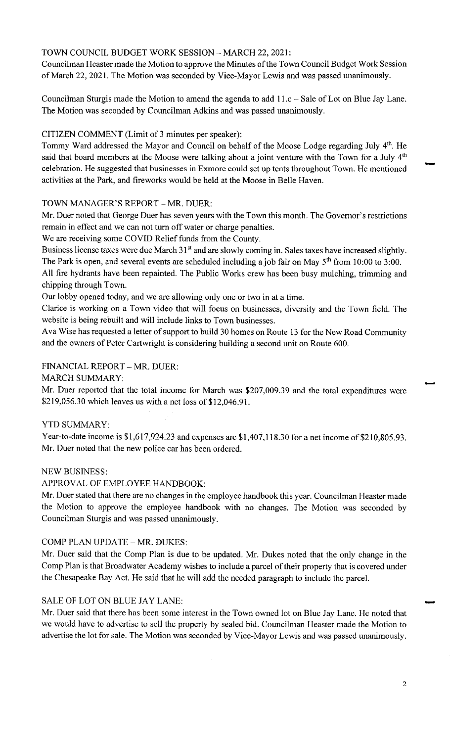# TOWN COUNCIL BUDGET WORK SESSION - MARCH 22, 2021:

Councilman Heaster made the Motion to approve the Minutes of the Town Council Budget Work Session of March 22, 2021. The Motion was seconded by Vice-Mayor Lewis and was passed unanimously.

Councilman Sturgis made the Motion to amend the agenda to add 11.c – Sale of Lot on Blue Jay Lane. The Motion was seconded by Councilman Adkins and was passed unanimously.

# CITIZEN COMMENT (Limit of 3 minutes per speaker):

Tommy Ward addressed the Mayor and Council on behalf of the Moose Lodge regarding July 4<sup>th</sup>. He said that board members at the Moose were talking about a joint venture with the Town for a July 4<sup>th</sup> celebration. He suggested that businesses in Exmore could set up tents throughout Town. He mentioned activities at the Park, and fireworks would be held at the Moose in Belle Haven.

## TOWN MANAGER'S REPORT - MR. DUER:

Mr. Duer noted that George Duer has seven years with the Town this month. The Governor's restrictions remain in effect and we can not turn off water or charge penalties.

We are receiving some COVID Relief funds from the County.

Business license taxes were due March 31<sup>st</sup> and are slowly coming in. Sales taxes have increased slightly. The Park is open, and several events are scheduled including a job fair on May  $5<sup>th</sup>$  from 10:00 to 3:00.

All fire hydrants have been repainted. The Public Works crew has been busy mulching, trimming and chipping through Town.

Our lobby opened today, and we are allowing only one or two in at a time.

Clarice is working on a Town video that will focus on businesses, diversity and the Town field. The website is being rebuilt and will include links to Town businesses.

Ava Wise has requested a letter of support to build 30 homes on Route 13 for the New Road Community and the owners of Peter Cartwright is considering building a second unit on Route 600.

### FINANCIAL REPORT - MR. DUER:

MARCH SUMMARY:

Mr. Duer reported that the total income for March was \$207,009.39 and the total expenditures were \$219,056.30 which leaves us with a net loss of \$12,046.91.

#### YTD SUMMARY:

Year-to-date income is \$1,617,924.23 and expenses are \$1,407,118.30 for a net income of \$210,805.93. Mr. Duer noted that the new police car has been ordered.

#### NEW BUSINESS:

#### APPROVAL OF EMPLOYEE HANDBOOK:

Mr. Duer stated that there are no changes in the employee handbook this year. Councilman Heaster made the Motion to approve the employee handbook with no changes. The Motion was seconded by Councilman Sturgis and was passed unanimously.

#### COMP PLAN UPDATE - MR. DUKES:

Mr. Duer said that the Comp Plan is due to be updated. Mr. Dukes noted that the only change in the Comp Plan is that Broadwater Academy wishes to include a parcel of their property that is covered under the Chesapeake Bay Act. He said that he will add the needed paragraph to include the parcel.

#### SALE OF LOT ON BLUE JAY LANE:

Mr. Duer said that there has been some interest in the Town owned lot on Blue Jay Lane. He noted that we would have to advertise to sell the property by sealed bid. Councilman Heaster made the Motion to advertise the lot for sale. The Motion was seconded by Vice-Mayor Lewis and was passed unanimously.